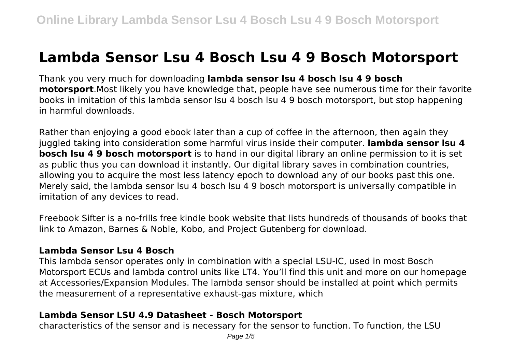# **Lambda Sensor Lsu 4 Bosch Lsu 4 9 Bosch Motorsport**

Thank you very much for downloading **lambda sensor lsu 4 bosch lsu 4 9 bosch motorsport**.Most likely you have knowledge that, people have see numerous time for their favorite books in imitation of this lambda sensor lsu 4 bosch lsu 4 9 bosch motorsport, but stop happening in harmful downloads.

Rather than enjoying a good ebook later than a cup of coffee in the afternoon, then again they juggled taking into consideration some harmful virus inside their computer. **lambda sensor lsu 4 bosch lsu 4 9 bosch motorsport** is to hand in our digital library an online permission to it is set as public thus you can download it instantly. Our digital library saves in combination countries, allowing you to acquire the most less latency epoch to download any of our books past this one. Merely said, the lambda sensor lsu 4 bosch lsu 4 9 bosch motorsport is universally compatible in imitation of any devices to read.

Freebook Sifter is a no-frills free kindle book website that lists hundreds of thousands of books that link to Amazon, Barnes & Noble, Kobo, and Project Gutenberg for download.

#### **Lambda Sensor Lsu 4 Bosch**

This lambda sensor operates only in combination with a special LSU-IC, used in most Bosch Motorsport ECUs and lambda control units like LT4. You'll find this unit and more on our homepage at Accessories/Expansion Modules. The lambda sensor should be installed at point which permits the measurement of a representative exhaust-gas mixture, which

## **Lambda Sensor LSU 4.9 Datasheet - Bosch Motorsport**

characteristics of the sensor and is necessary for the sensor to function. To function, the LSU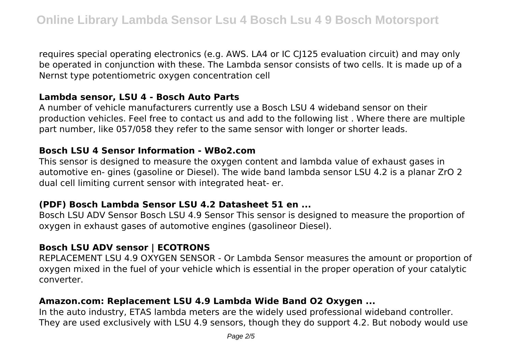requires special operating electronics (e.g. AWS. LA4 or IC CJ125 evaluation circuit) and may only be operated in conjunction with these. The Lambda sensor consists of two cells. It is made up of a Nernst type potentiometric oxygen concentration cell

#### **Lambda sensor, LSU 4 - Bosch Auto Parts**

A number of vehicle manufacturers currently use a Bosch LSU 4 wideband sensor on their production vehicles. Feel free to contact us and add to the following list . Where there are multiple part number, like 057/058 they refer to the same sensor with longer or shorter leads.

#### **Bosch LSU 4 Sensor Information - WBo2.com**

This sensor is designed to measure the oxygen content and lambda value of exhaust gases in automotive en- gines (gasoline or Diesel). The wide band lambda sensor LSU 4.2 is a planar ZrO 2 dual cell limiting current sensor with integrated heat- er.

#### **(PDF) Bosch Lambda Sensor LSU 4.2 Datasheet 51 en ...**

Bosch LSU ADV Sensor Bosch LSU 4.9 Sensor This sensor is designed to measure the proportion of oxygen in exhaust gases of automotive engines (gasolineor Diesel).

# **Bosch LSU ADV sensor | ECOTRONS**

REPLACEMENT LSU 4.9 OXYGEN SENSOR - Or Lambda Sensor measures the amount or proportion of oxygen mixed in the fuel of your vehicle which is essential in the proper operation of your catalytic converter.

## **Amazon.com: Replacement LSU 4.9 Lambda Wide Band O2 Oxygen ...**

In the auto industry, ETAS lambda meters are the widely used professional wideband controller. They are used exclusively with LSU 4.9 sensors, though they do support 4.2. But nobody would use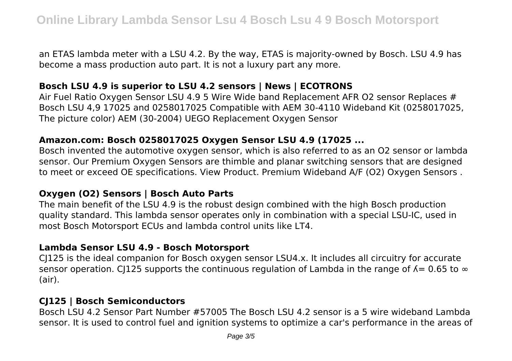an ETAS lambda meter with a LSU 4.2. By the way, ETAS is majority-owned by Bosch. LSU 4.9 has become a mass production auto part. It is not a luxury part any more.

## **Bosch LSU 4.9 is superior to LSU 4.2 sensors | News | ECOTRONS**

Air Fuel Ratio Oxygen Sensor LSU 4.9 5 Wire Wide band Replacement AFR O2 sensor Replaces # Bosch LSU 4,9 17025 and 0258017025 Compatible with AEM 30-4110 Wideband Kit (0258017025, The picture color) AEM (30-2004) UEGO Replacement Oxygen Sensor

#### **Amazon.com: Bosch 0258017025 Oxygen Sensor LSU 4.9 (17025 ...**

Bosch invented the automotive oxygen sensor, which is also referred to as an O2 sensor or lambda sensor. Our Premium Oxygen Sensors are thimble and planar switching sensors that are designed to meet or exceed OE specifications. View Product. Premium Wideband A/F (O2) Oxygen Sensors .

#### **Oxygen (O2) Sensors | Bosch Auto Parts**

The main benefit of the LSU 4.9 is the robust design combined with the high Bosch production quality standard. This lambda sensor operates only in combination with a special LSU-IC, used in most Bosch Motorsport ECUs and lambda control units like LT4.

#### **Lambda Sensor LSU 4.9 - Bosch Motorsport**

CJ125 is the ideal companion for Bosch oxygen sensor LSU4.x. It includes all circuitry for accurate sensor operation. CJ125 supports the continuous regulation of Lambda in the range of  $\lambda = 0.65$  to  $\infty$ (air).

## **CJ125 | Bosch Semiconductors**

Bosch LSU 4.2 Sensor Part Number #57005 The Bosch LSU 4.2 sensor is a 5 wire wideband Lambda sensor. It is used to control fuel and ignition systems to optimize a car's performance in the areas of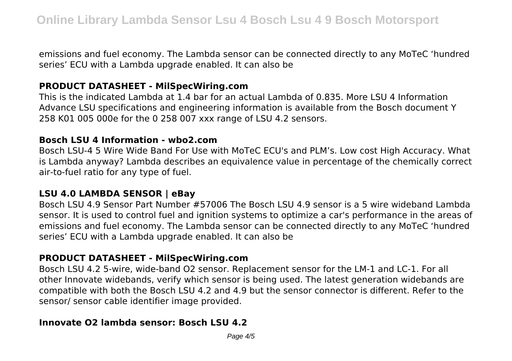emissions and fuel economy. The Lambda sensor can be connected directly to any MoTeC 'hundred series' ECU with a Lambda upgrade enabled. It can also be

## **PRODUCT DATASHEET - MilSpecWiring.com**

This is the indicated Lambda at 1.4 bar for an actual Lambda of 0.835. More LSU 4 Information Advance LSU specifications and engineering information is available from the Bosch document Y 258 K01 005 000e for the 0 258 007 xxx range of LSU 4.2 sensors.

#### **Bosch LSU 4 Information - wbo2.com**

Bosch LSU-4 5 Wire Wide Band For Use with MoTeC ECU's and PLM's. Low cost High Accuracy. What is Lambda anyway? Lambda describes an equivalence value in percentage of the chemically correct air-to-fuel ratio for any type of fuel.

#### **LSU 4.0 LAMBDA SENSOR | eBay**

Bosch LSU 4.9 Sensor Part Number #57006 The Bosch LSU 4.9 sensor is a 5 wire wideband Lambda sensor. It is used to control fuel and ignition systems to optimize a car's performance in the areas of emissions and fuel economy. The Lambda sensor can be connected directly to any MoTeC 'hundred series' ECU with a Lambda upgrade enabled. It can also be

## **PRODUCT DATASHEET - MilSpecWiring.com**

Bosch LSU 4.2 5-wire, wide-band O2 sensor. Replacement sensor for the LM-1 and LC-1. For all other Innovate widebands, verify which sensor is being used. The latest generation widebands are compatible with both the Bosch LSU 4.2 and 4.9 but the sensor connector is different. Refer to the sensor/ sensor cable identifier image provided.

## **Innovate O2 lambda sensor: Bosch LSU 4.2**